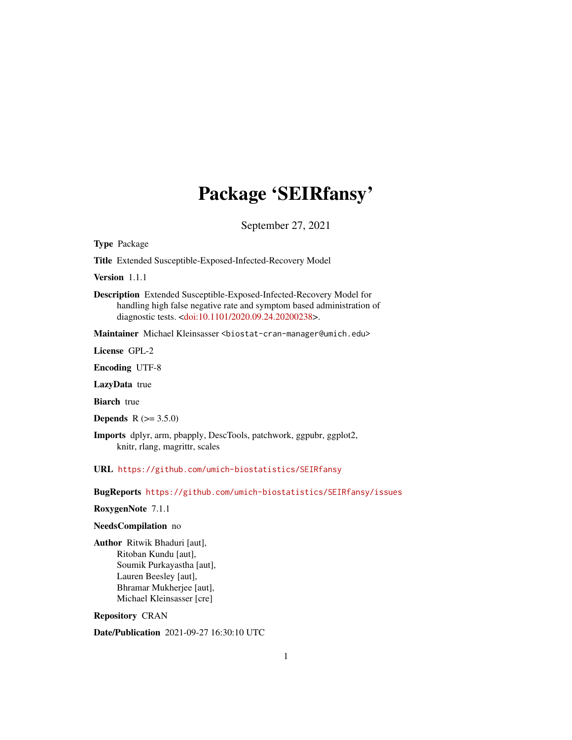## Package 'SEIRfansy'

September 27, 2021

Type Package

Title Extended Susceptible-Exposed-Infected-Recovery Model

Version 1.1.1

Description Extended Susceptible-Exposed-Infected-Recovery Model for handling high false negative rate and symptom based administration of diagnostic tests. [<doi:10.1101/2020.09.24.20200238>](https://doi.org/10.1101/2020.09.24.20200238).

Maintainer Michael Kleinsasser <biostat-cran-manager@umich.edu>

License GPL-2

Encoding UTF-8

LazyData true

**Biarch** true

**Depends**  $R (= 3.5.0)$ 

Imports dplyr, arm, pbapply, DescTools, patchwork, ggpubr, ggplot2, knitr, rlang, magrittr, scales

URL <https://github.com/umich-biostatistics/SEIRfansy>

BugReports <https://github.com/umich-biostatistics/SEIRfansy/issues>

RoxygenNote 7.1.1

#### NeedsCompilation no

Author Ritwik Bhaduri [aut], Ritoban Kundu [aut], Soumik Purkayastha [aut], Lauren Beesley [aut], Bhramar Mukherjee [aut], Michael Kleinsasser [cre]

Repository CRAN

Date/Publication 2021-09-27 16:30:10 UTC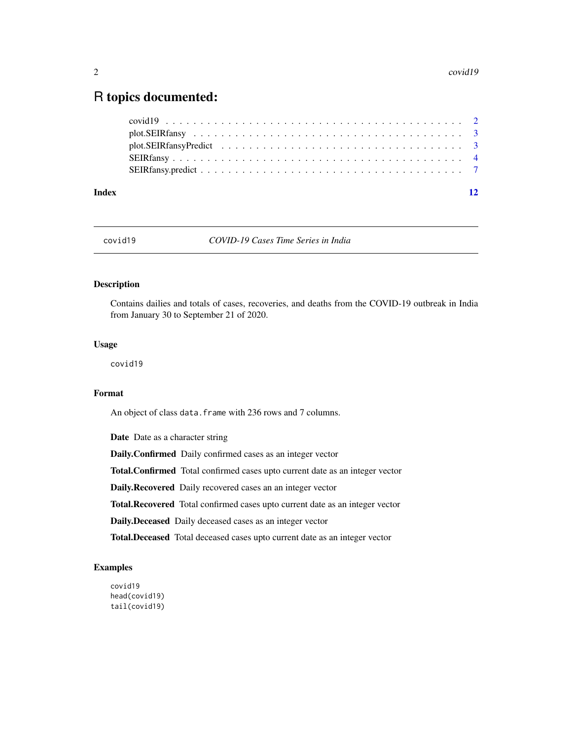### <span id="page-1-0"></span>R topics documented:

| Index |                                                                                                                     | 12 |
|-------|---------------------------------------------------------------------------------------------------------------------|----|
|       |                                                                                                                     |    |
|       |                                                                                                                     |    |
|       | $plot. SEIRfansy Predict \dots \dots \dots \dots \dots \dots \dots \dots \dots \dots \dots \dots \dots \dots \dots$ |    |
|       |                                                                                                                     |    |
|       |                                                                                                                     |    |

covid19 *COVID-19 Cases Time Series in India*

#### Description

Contains dailies and totals of cases, recoveries, and deaths from the COVID-19 outbreak in India from January 30 to September 21 of 2020.

#### Usage

covid19

#### Format

An object of class data. frame with 236 rows and 7 columns.

Date Date as a character string

Daily.Confirmed Daily confirmed cases as an integer vector

Total.Confirmed Total confirmed cases upto current date as an integer vector

Daily.Recovered Daily recovered cases an an integer vector

Total.Recovered Total confirmed cases upto current date as an integer vector

Daily.Deceased Daily deceased cases as an integer vector

Total.Deceased Total deceased cases upto current date as an integer vector

#### Examples

covid19 head(covid19) tail(covid19)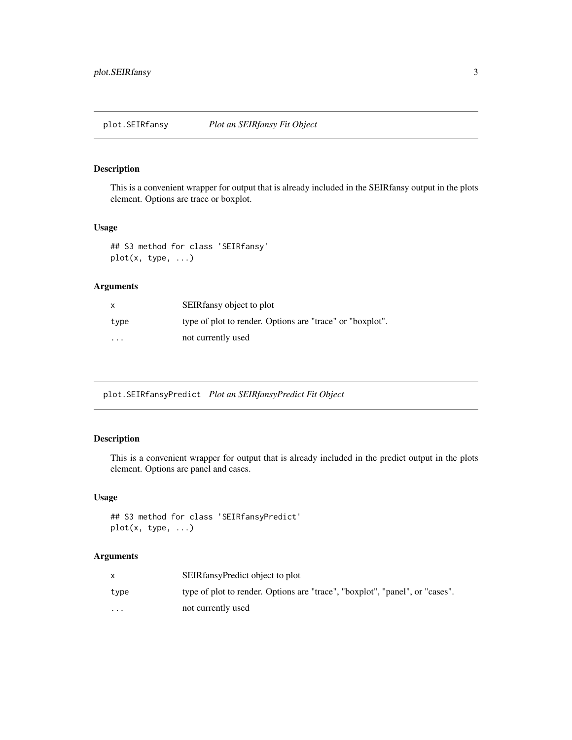#### <span id="page-2-0"></span>Description

This is a convenient wrapper for output that is already included in the SEIRfansy output in the plots element. Options are trace or boxplot.

#### Usage

## S3 method for class 'SEIRfansy' plot(x, type, ...)

#### Arguments

| x       | SEIR fansy object to plot                                 |
|---------|-----------------------------------------------------------|
| type    | type of plot to render. Options are "trace" or "boxplot". |
| $\cdot$ | not currently used                                        |

plot.SEIRfansyPredict *Plot an SEIRfansyPredict Fit Object*

#### Description

This is a convenient wrapper for output that is already included in the predict output in the plots element. Options are panel and cases.

#### Usage

```
## S3 method for class 'SEIRfansyPredict'
plot(x, type, ...)
```
#### Arguments

|          | SEIRfansyPredict object to plot                                              |
|----------|------------------------------------------------------------------------------|
| type     | type of plot to render. Options are "trace", "boxplot", "panel", or "cases". |
| $\cdots$ | not currently used                                                           |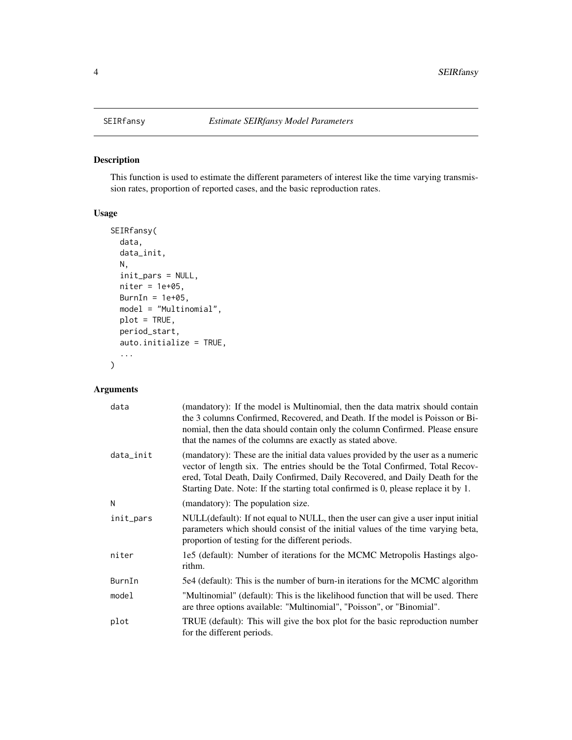#### Description

This function is used to estimate the different parameters of interest like the time varying transmission rates, proportion of reported cases, and the basic reproduction rates.

#### Usage

```
SEIRfansy(
  data,
  data_init,
 N,
  init_pars = NULL,
  niter = 1e+05,
 BurnIn = 1e+05,
 model = "Multinomial",
 plot = TRUE,
 period_start,
  auto.initialize = TRUE,
  ...
)
```
#### Arguments

| data      | (mandatory): If the model is Multinomial, then the data matrix should contain<br>the 3 columns Confirmed, Recovered, and Death. If the model is Poisson or Bi-<br>nomial, then the data should contain only the column Confirmed. Please ensure<br>that the names of the columns are exactly as stated above.                           |
|-----------|-----------------------------------------------------------------------------------------------------------------------------------------------------------------------------------------------------------------------------------------------------------------------------------------------------------------------------------------|
| data_init | (mandatory): These are the initial data values provided by the user as a numeric<br>vector of length six. The entries should be the Total Confirmed, Total Recov-<br>ered, Total Death, Daily Confirmed, Daily Recovered, and Daily Death for the<br>Starting Date. Note: If the starting total confirmed is 0, please replace it by 1. |
| N         | (mandatory): The population size.                                                                                                                                                                                                                                                                                                       |
| init_pars | NULL(default): If not equal to NULL, then the user can give a user input initial<br>parameters which should consist of the initial values of the time varying beta,<br>proportion of testing for the different periods.                                                                                                                 |
| niter     | 1e5 (default): Number of iterations for the MCMC Metropolis Hastings algo-<br>rithm.                                                                                                                                                                                                                                                    |
| BurnIn    | 5e4 (default): This is the number of burn-in iterations for the MCMC algorithm                                                                                                                                                                                                                                                          |
| model     | "Multinomial" (default): This is the likelihood function that will be used. There<br>are three options available: "Multinomial", "Poisson", or "Binomial".                                                                                                                                                                              |
| plot      | TRUE (default): This will give the box plot for the basic reproduction number<br>for the different periods.                                                                                                                                                                                                                             |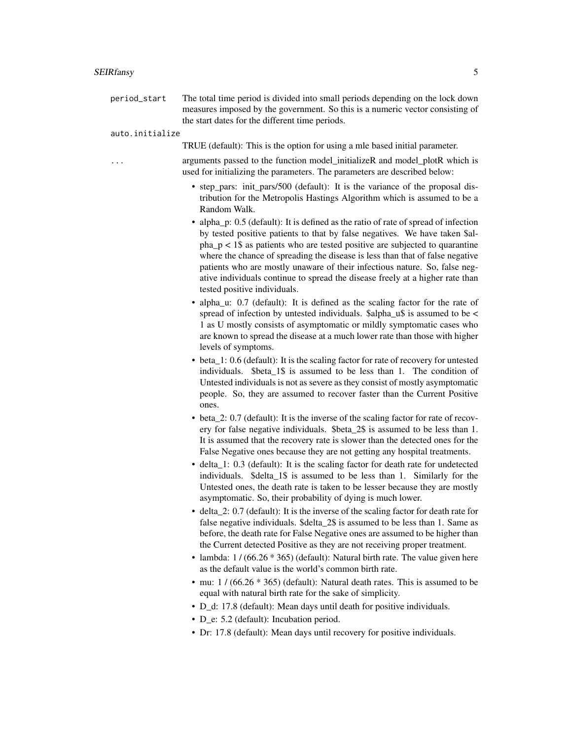#### SEIRfansy 5

| period_start | The total time period is divided into small periods depending on the lock down |
|--------------|--------------------------------------------------------------------------------|
|              | measures imposed by the government. So this is a numeric vector consisting of  |
|              | the start dates for the different time periods.                                |

#### auto.initialize

TRUE (default): This is the option for using a mle based initial parameter.

arguments passed to the function model\_initializeR and model\_plotR which is used for initializing the parameters. The parameters are described below:

- step pars: init pars/500 (default): It is the variance of the proposal distribution for the Metropolis Hastings Algorithm which is assumed to be a Random Walk.
- alpha\_p: 0.5 (default): It is defined as the ratio of rate of spread of infection by tested positive patients to that by false negatives. We have taken \$al $pha_p < 1$ \$ as patients who are tested positive are subjected to quarantine where the chance of spreading the disease is less than that of false negative patients who are mostly unaware of their infectious nature. So, false negative individuals continue to spread the disease freely at a higher rate than tested positive individuals.
- alpha\_u: 0.7 (default): It is defined as the scaling factor for the rate of spread of infection by untested individuals. \$alpha\_u\$ is assumed to be < 1 as U mostly consists of asymptomatic or mildly symptomatic cases who are known to spread the disease at a much lower rate than those with higher levels of symptoms.
- beta\_1: 0.6 (default): It is the scaling factor for rate of recovery for untested individuals. \$beta\_1\$ is assumed to be less than 1. The condition of Untested individuals is not as severe as they consist of mostly asymptomatic people. So, they are assumed to recover faster than the Current Positive ones.
- beta 2: 0.7 (default): It is the inverse of the scaling factor for rate of recovery for false negative individuals. \$beta\_2\$ is assumed to be less than 1. It is assumed that the recovery rate is slower than the detected ones for the False Negative ones because they are not getting any hospital treatments.
- delta 1: 0.3 (default): It is the scaling factor for death rate for undetected individuals. \$delta\_1\$ is assumed to be less than 1. Similarly for the Untested ones, the death rate is taken to be lesser because they are mostly asymptomatic. So, their probability of dying is much lower.
- delta\_2: 0.7 (default): It is the inverse of the scaling factor for death rate for false negative individuals. \$delta 2\$ is assumed to be less than 1. Same as before, the death rate for False Negative ones are assumed to be higher than the Current detected Positive as they are not receiving proper treatment.
- lambda:  $1/(66.26 * 365)$  (default): Natural birth rate. The value given here as the default value is the world's common birth rate.
- mu:  $1 / (66.26 * 365)$  (default): Natural death rates. This is assumed to be equal with natural birth rate for the sake of simplicity.
- D\_d: 17.8 (default): Mean days until death for positive individuals.
- D e: 5.2 (default): Incubation period.
- Dr: 17.8 (default): Mean days until recovery for positive individuals.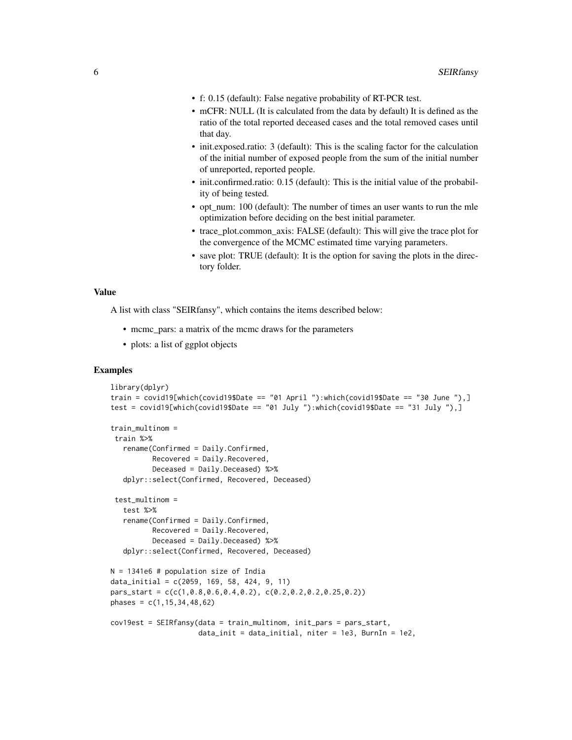- f: 0.15 (default): False negative probability of RT-PCR test.
- mCFR: NULL (It is calculated from the data by default) It is defined as the ratio of the total reported deceased cases and the total removed cases until that day.
- init.exposed.ratio: 3 (default): This is the scaling factor for the calculation of the initial number of exposed people from the sum of the initial number of unreported, reported people.
- init.confirmed.ratio: 0.15 (default): This is the initial value of the probability of being tested.
- opt\_num: 100 (default): The number of times an user wants to run the mle optimization before deciding on the best initial parameter.
- trace\_plot.common\_axis: FALSE (default): This will give the trace plot for the convergence of the MCMC estimated time varying parameters.
- save plot: TRUE (default): It is the option for saving the plots in the directory folder.

#### Value

A list with class "SEIRfansy", which contains the items described below:

- mcmc\_pars: a matrix of the mcmc draws for the parameters
- plots: a list of ggplot objects

#### Examples

```
library(dplyr)
train = covid19[which(covid19$Date == "01 April "):which(covid19$Date == "30 June "),]
test = covid19[which(covid19$Date == "01 July "):which(covid19$Date == "31 July "),]
train_multinom =
train %>%
   rename(Confirmed = Daily.Confirmed,
          Recovered = Daily.Recovered,
          Deceased = Daily.Deceased) %>%
  dplyr::select(Confirmed, Recovered, Deceased)
 test_multinom =
   test %>%
   rename(Confirmed = Daily.Confirmed,
          Recovered = Daily.Recovered,
          Deceased = Daily.Deceased) %>%
  dplyr::select(Confirmed, Recovered, Deceased)
N = 1341e6 # population size of India
data_initial = c(2059, 169, 58, 424, 9, 11)
pars_start = c(c(1,0.8,0.6,0.4,0.2), c(0.2,0.2,0.2,0.25,0.2))
phases = c(1, 15, 34, 48, 62)cov19est = SEIRfansy(data = train_multinom, init_pars = pars_start,
                     data_init = data_initial, niter = 1e3, BurnIn = 1e2,
```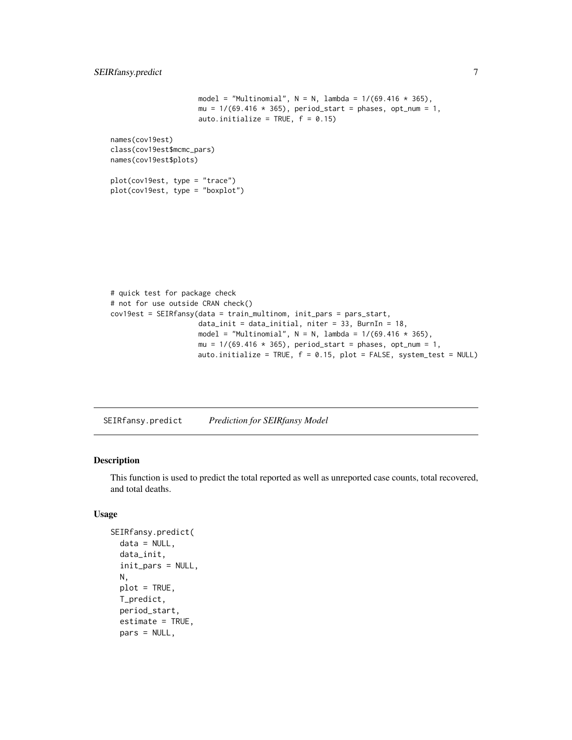```
model = "Multinomial", N = N, lambda = 1/(69.416 \times 365),
                      mu = 1/(69.416 \times 365), period_start = phases, opt_num = 1,
                     auto.initialize = TRUE, f = 0.15)
names(cov19est)
class(cov19est$mcmc_pars)
names(cov19est$plots)
plot(cov19est, type = "trace")
plot(cov19est, type = "boxplot")
```

```
# quick test for package check
# not for use outside CRAN check()
cov19est = SEIRfansy(data = train_multinom, init_pars = pars_start,
                    data_init = data_initial, niter = 33, BurnIn = 18,
                     model = "Multinomial", N = N, lambda = 1/(69.416 * 365),
                     mu = 1/(69.416 * 365), period_start = phases, opt_num = 1,
                     auto.initialize = TRUE, f = 0.15, plot = FALSE, system_test = NULL)
```
SEIRfansy.predict *Prediction for SEIRfansy Model*

#### Description

This function is used to predict the total reported as well as unreported case counts, total recovered, and total deaths.

#### Usage

```
SEIRfansy.predict(
  data = NULL,
  data_init,
  init_pars = NULL,
  N,
  plot = TRUE,
  T_predict,
  period_start,
  estimate = TRUE,
  pars = NULL,
```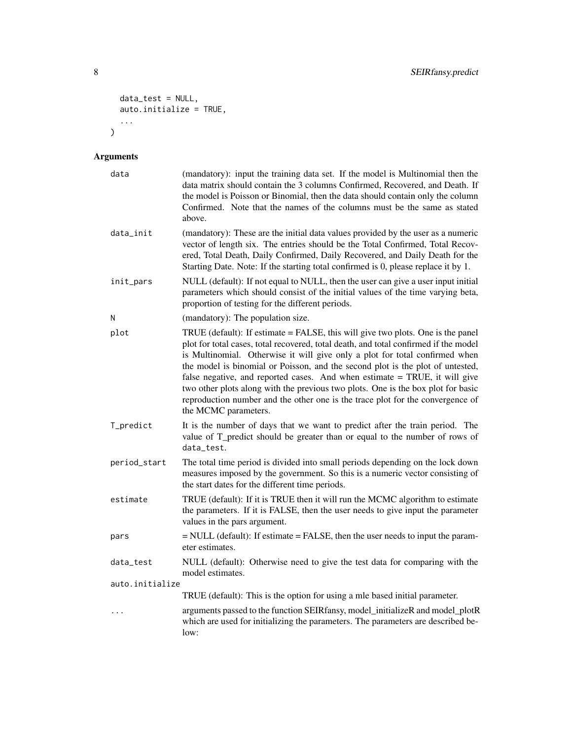```
data_test = NULL,
  auto.initialize = TRUE,
  ...
\lambda
```
#### Arguments

| data            | (mandatory): input the training data set. If the model is Multinomial then the<br>data matrix should contain the 3 columns Confirmed, Recovered, and Death. If<br>the model is Poisson or Binomial, then the data should contain only the column<br>Confirmed. Note that the names of the columns must be the same as stated<br>above.                                                                                                                                                                                                                                                                               |  |  |  |
|-----------------|----------------------------------------------------------------------------------------------------------------------------------------------------------------------------------------------------------------------------------------------------------------------------------------------------------------------------------------------------------------------------------------------------------------------------------------------------------------------------------------------------------------------------------------------------------------------------------------------------------------------|--|--|--|
| data_init       | (mandatory): These are the initial data values provided by the user as a numeric<br>vector of length six. The entries should be the Total Confirmed, Total Recov-<br>ered, Total Death, Daily Confirmed, Daily Recovered, and Daily Death for the<br>Starting Date. Note: If the starting total confirmed is 0, please replace it by 1.                                                                                                                                                                                                                                                                              |  |  |  |
| init_pars       | NULL (default): If not equal to NULL, then the user can give a user input initial<br>parameters which should consist of the initial values of the time varying beta,<br>proportion of testing for the different periods.                                                                                                                                                                                                                                                                                                                                                                                             |  |  |  |
| N               | (mandatory): The population size.                                                                                                                                                                                                                                                                                                                                                                                                                                                                                                                                                                                    |  |  |  |
| plot            | TRUE (default): If estimate = FALSE, this will give two plots. One is the panel<br>plot for total cases, total recovered, total death, and total confirmed if the model<br>is Multinomial. Otherwise it will give only a plot for total confirmed when<br>the model is binomial or Poisson, and the second plot is the plot of untested,<br>false negative, and reported cases. And when estimate = TRUE, it will give<br>two other plots along with the previous two plots. One is the box plot for basic<br>reproduction number and the other one is the trace plot for the convergence of<br>the MCMC parameters. |  |  |  |
| T_predict       | It is the number of days that we want to predict after the train period. The<br>value of T_predict should be greater than or equal to the number of rows of<br>data_test.                                                                                                                                                                                                                                                                                                                                                                                                                                            |  |  |  |
| period_start    | The total time period is divided into small periods depending on the lock down<br>measures imposed by the government. So this is a numeric vector consisting of<br>the start dates for the different time periods.                                                                                                                                                                                                                                                                                                                                                                                                   |  |  |  |
| estimate        | TRUE (default): If it is TRUE then it will run the MCMC algorithm to estimate<br>the parameters. If it is FALSE, then the user needs to give input the parameter<br>values in the pars argument.                                                                                                                                                                                                                                                                                                                                                                                                                     |  |  |  |
| pars            | = NULL (default): If estimate = FALSE, then the user needs to input the param-<br>eter estimates.                                                                                                                                                                                                                                                                                                                                                                                                                                                                                                                    |  |  |  |
| data_test       | NULL (default): Otherwise need to give the test data for comparing with the<br>model estimates.                                                                                                                                                                                                                                                                                                                                                                                                                                                                                                                      |  |  |  |
| auto.initialize |                                                                                                                                                                                                                                                                                                                                                                                                                                                                                                                                                                                                                      |  |  |  |
|                 | TRUE (default): This is the option for using a mle based initial parameter.                                                                                                                                                                                                                                                                                                                                                                                                                                                                                                                                          |  |  |  |
| .               | arguments passed to the function SEIRfansy, model_initializeR and model_plotR<br>which are used for initializing the parameters. The parameters are described be-<br>low:                                                                                                                                                                                                                                                                                                                                                                                                                                            |  |  |  |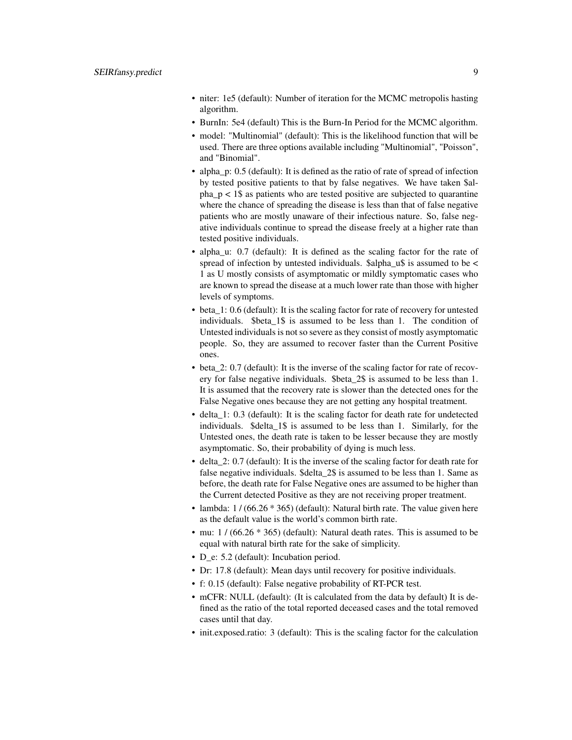- niter: 1e5 (default): Number of iteration for the MCMC metropolis hasting algorithm.
- BurnIn: 5e4 (default) This is the Burn-In Period for the MCMC algorithm.
- model: "Multinomial" (default): This is the likelihood function that will be used. There are three options available including "Multinomial", "Poisson", and "Binomial".
- alpha p: 0.5 (default): It is defined as the ratio of rate of spread of infection by tested positive patients to that by false negatives. We have taken \$al $pha_p < 1$ \$ as patients who are tested positive are subjected to quarantine where the chance of spreading the disease is less than that of false negative patients who are mostly unaware of their infectious nature. So, false negative individuals continue to spread the disease freely at a higher rate than tested positive individuals.
- alpha\_u: 0.7 (default): It is defined as the scaling factor for the rate of spread of infection by untested individuals.  $\alpha$  is assumed to be < 1 as U mostly consists of asymptomatic or mildly symptomatic cases who are known to spread the disease at a much lower rate than those with higher levels of symptoms.
- beta 1: 0.6 (default): It is the scaling factor for rate of recovery for untested individuals. \$beta\_1\$ is assumed to be less than 1. The condition of Untested individuals is not so severe as they consist of mostly asymptomatic people. So, they are assumed to recover faster than the Current Positive ones.
- beta 2: 0.7 (default): It is the inverse of the scaling factor for rate of recovery for false negative individuals. \$beta\_2\$ is assumed to be less than 1. It is assumed that the recovery rate is slower than the detected ones for the False Negative ones because they are not getting any hospital treatment.
- delta 1: 0.3 (default): It is the scaling factor for death rate for undetected individuals. \$delta\_1\$ is assumed to be less than 1. Similarly, for the Untested ones, the death rate is taken to be lesser because they are mostly asymptomatic. So, their probability of dying is much less.
- delta\_2: 0.7 (default): It is the inverse of the scaling factor for death rate for false negative individuals. \$delta\_2\$ is assumed to be less than 1. Same as before, the death rate for False Negative ones are assumed to be higher than the Current detected Positive as they are not receiving proper treatment.
- lambda:  $1/(66.26 * 365)$  (default): Natural birth rate. The value given here as the default value is the world's common birth rate.
- mu: 1 / (66.26  $*$  365) (default): Natural death rates. This is assumed to be equal with natural birth rate for the sake of simplicity.
- D e: 5.2 (default): Incubation period.
- Dr: 17.8 (default): Mean days until recovery for positive individuals.
- f: 0.15 (default): False negative probability of RT-PCR test.
- mCFR: NULL (default): (It is calculated from the data by default) It is defined as the ratio of the total reported deceased cases and the total removed cases until that day.
- init.exposed.ratio: 3 (default): This is the scaling factor for the calculation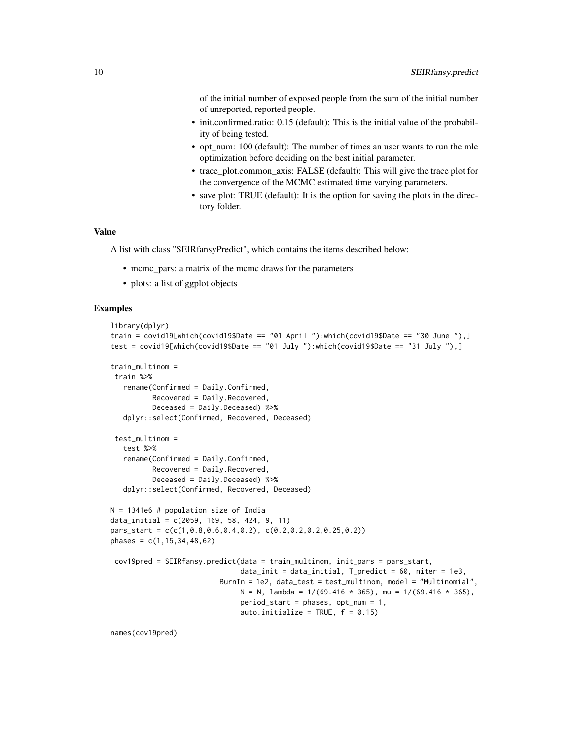of the initial number of exposed people from the sum of the initial number of unreported, reported people.

- init.confirmed.ratio: 0.15 (default): This is the initial value of the probability of being tested.
- opt\_num: 100 (default): The number of times an user wants to run the mle optimization before deciding on the best initial parameter.
- trace plot.common axis: FALSE (default): This will give the trace plot for the convergence of the MCMC estimated time varying parameters.
- save plot: TRUE (default): It is the option for saving the plots in the directory folder.

#### Value

A list with class "SEIRfansyPredict", which contains the items described below:

- mcmc pars: a matrix of the mcmc draws for the parameters
- plots: a list of ggplot objects

#### Examples

```
library(dplyr)
train = covid19[which(covid19$Date == "01 April "):which(covid19$Date == "30 June "),]
test = covid19[which(covid19$Date == "01 July "):which(covid19$Date == "31 July "),]
train_multinom =
train %>%
  rename(Confirmed = Daily.Confirmed,
         Recovered = Daily.Recovered,
         Deceased = Daily.Deceased) %>%
  dplyr::select(Confirmed, Recovered, Deceased)
 test_multinom =
   test %>%
   rename(Confirmed = Daily.Confirmed,
         Recovered = Daily.Recovered,
         Deceased = Daily.Deceased) %>%
  dplyr::select(Confirmed, Recovered, Deceased)
N = 1341e6 # population size of India
data_initial = c(2059, 169, 58, 424, 9, 11)
pars_start = c(c(1,0.8,0.6,0.4,0.2), c(0.2,0.2,0.2,0.25,0.2))
phases = c(1, 15, 34, 48, 62)cov19pred = SEIRfansy.predict(data = train_multinom, init_pars = pars_start,
                               data_init = data_initial, T_predict = 60, niter = 1e3,
                          BurnIn = 1e2, data_test = test_multinom, model = "Multinomial",
                               N = N, lambda = 1/(69.416 * 365), mu = 1/(69.416 * 365),
                               period_start = phases, opt_num = 1,
                               auto.initialize = TRUE, f = 0.15)
```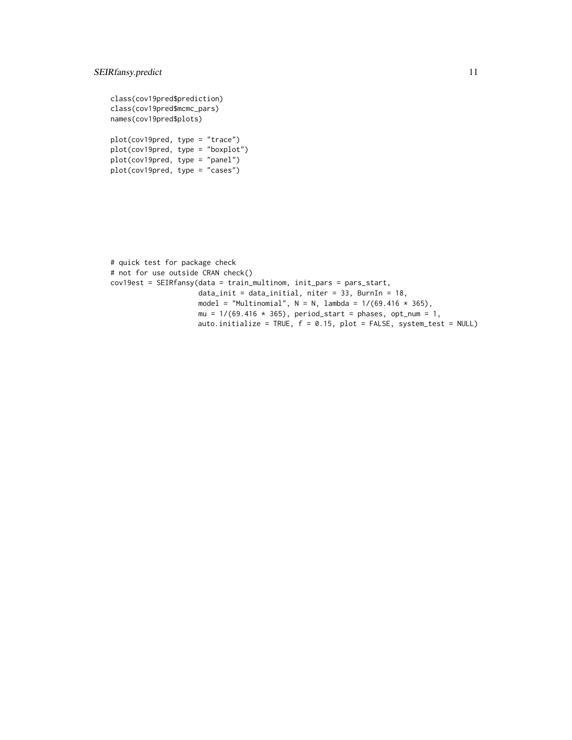#### SEIRfansy.predict 11

class(cov19pred\$prediction) class(cov19pred\$mcmc\_pars) names(cov19pred\$plots)

plot(cov19pred, type = "trace") plot(cov19pred, type = "boxplot") plot(cov19pred, type = "panel") plot(cov19pred, type = "cases")

```
# quick test for package check
# not for use outside CRAN check()
cov19est = SEIRfansy(data = train_multinom, init_pars = pars_start,
                     data_init = data_initial, niter = 33, BurnIn = 18,
                     model = "Multinomial", N = N, lambda = 1/(69.416 * 365),
                     mu = 1/(69.416 * 365), period_start = phases, opt_num = 1,
                    auto.initialize = TRUE, f = 0.15, plot = FALSE, system_test = NULL)
```